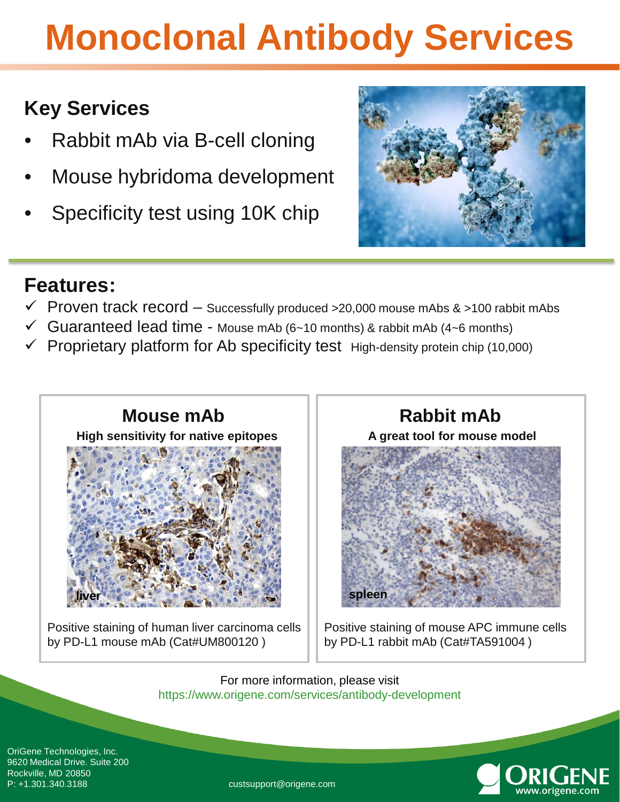# **Monoclonal Antibody Services**

### **Key Services**

- Rabbit mAb via B-cell cloning
- Mouse hybridoma development
- Specificity test using 10K chip



### **Features:**

- $\checkmark$  Proven track record Successfully produced >20,000 mouse mAbs & >100 rabbit mAbs
- Guaranteed lead time Mouse mAb (6~10 months) & rabbit mAb (4~6 months)
- Proprietary platform for Ab specificity test High-density protein chip (10,000)



Positive staining of human liver carcinoma cells by PD-L1 mouse mAb (Cat#UM800120 )

**A great tool for mouse model** 

Positive staining of mouse APC immune cells by PD-L1 rabbit mAb (Cat#TA591004)

For more information, please visit https://www.origene.com/services/antibody-development

**spleen**

OriGene Technologies, Inc. 9620 Medical Drive. Suite 200 Rockville, MD 20850



custsupport@origene.com